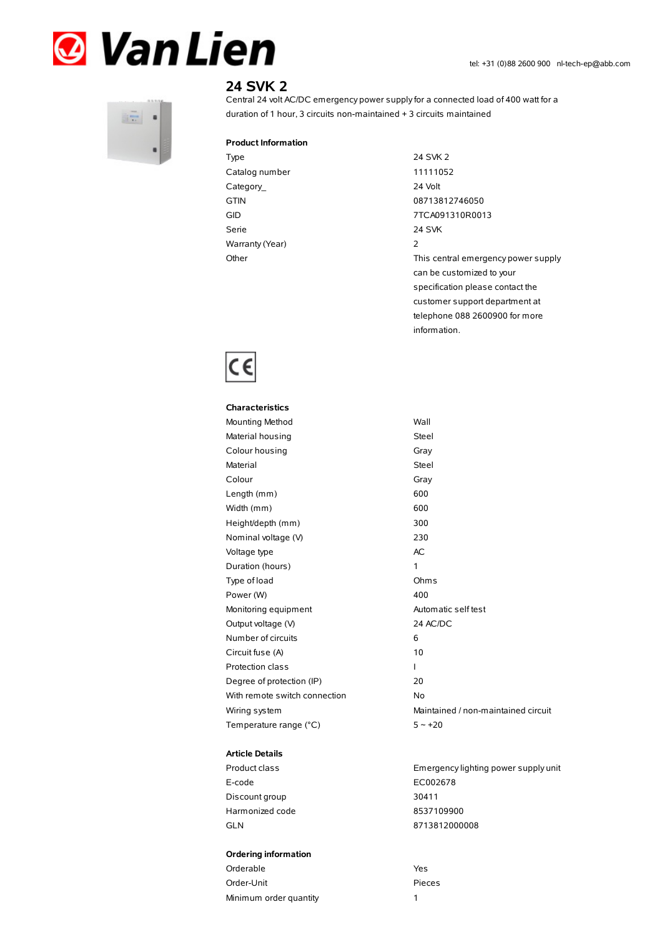



# **24 SVK 2**

Central 24 volt AC/DC emergency power supplyfor a connected load of 400 watt for a duration of 1 hour, 3 circuits non-maintained + 3 circuits maintained

### **Product Information**

Type 24 SVK 2 Catalog number 11111052 Category\_ 24 Volt GTIN 08713812746050 Serie 24 SVK Warranty(Year) 2

GID 7TCA091310R0013 Other Charles Community Charles This central emergency power supply can be customized to your specification please contact the customer support department at telephone 088 2600900 for more information.



| <b>Characteristics</b>        |              |
|-------------------------------|--------------|
| Mounting Method               | Wall         |
| Material housing              | Steel        |
| Colour housing                | Gray         |
| Material                      | <b>Steel</b> |
| Colour                        | Gray         |
| Length (mm)                   | 600          |
| Width (mm)                    | 600          |
| Height/depth (mm)             | 300          |
| Nominal voltage (V)           | 230          |
| Voltage type                  | <b>AC</b>    |
| Duration (hours)              | 1            |
| Type of load                  | Ohm:         |
| Power (W)                     | 400          |
| Monitoring equipment          | Auton        |
| Output voltage (V)            | 24 AC        |
| Number of circuits            | 6            |
| Circuit fuse (A)              | 10           |
| <b>Protection class</b>       | I            |
| Degree of protection (IP)     | 20           |
| With remote switch connection | No           |
| Wiring system                 | Maint        |
| Temperature range (°C)        | $5 - 1$      |

#### **Article Details**

E-code EC002678 Discount group 30411 Harmonized code 8537109900 GLN 8713812000008

#### **Ordering information**

| Orderable              | Yes. |
|------------------------|------|
| Order-Unit             | Piec |
| Minimum order quantity |      |

Steel Steel Gray Ohms Automatic self test 24 AC/DC Maintained / non-maintained circuit  $5 - +20$ 

Product class Emergencylighting power supply unit

Pieces